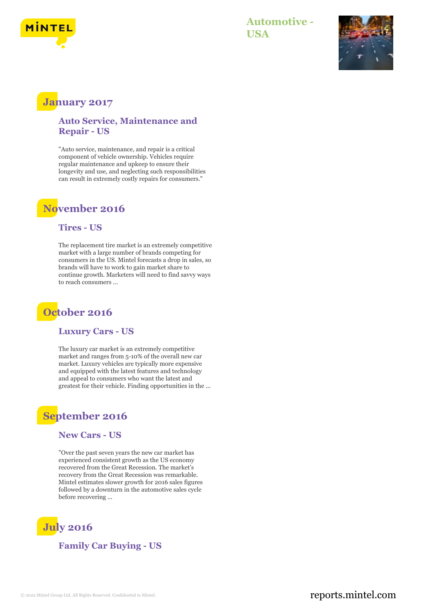

### **Automotive - USA**



# **January 2017**

#### **Auto Service, Maintenance and Repair - US**

"Auto service, maintenance, and repair is a critical component of vehicle ownership. Vehicles require regular maintenance and upkeep to ensure their longevity and use, and neglecting such responsibilities can result in extremely costly repairs for consumers."

### **November 2016**

#### **Tires - US**

The replacement tire market is an extremely competitive market with a large number of brands competing for consumers in the US. Mintel forecasts a drop in sales, so brands will have to work to gain market share to continue growth. Marketers will need to find savvy ways to reach consumers ...

## **October 2016**

#### **Luxury Cars - US**

The luxury car market is an extremely competitive market and ranges from 5-10% of the overall new car market. Luxury vehicles are typically more expensive and equipped with the latest features and technology and appeal to consumers who want the latest and greatest for their vehicle. Finding opportunities in the ...

## **September 2016**

#### **New Cars - US**

"Over the past seven years the new car market has experienced consistent growth as the US economy recovered from the Great Recession. The market's recovery from the Great Recession was remarkable. Mintel estimates slower growth for 2016 sales figures followed by a downturn in the automotive sales cycle before recovering ...



**Family Car Buying - US**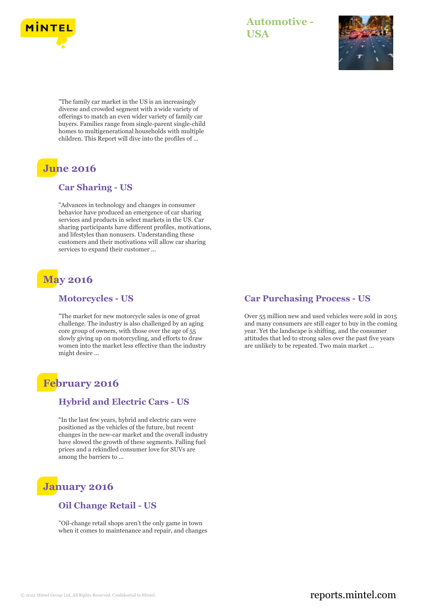

### **Automotive - USA**



"The family car market in the US is an increasingly diverse and crowded segment with a wide variety of offerings to match an even wider variety of family car buyers. Families range from single-parent single-child homes to multigenerational households with multiple children. This Report will dive into the profiles of ...

# **June 2016**

#### **Car Sharing - US**

"Advances in technology and changes in consumer behavior have produced an emergence of car sharing services and products in select markets in the US. Car sharing participants have different profiles, motivations, and lifestyles than nonusers. Understanding these customers and their motivations will allow car sharing services to expand their customer ...

# **May 2016**

#### **Motorcycles - US**

"The market for new motorcycle sales is one of great challenge. The industry is also challenged by an aging core group of owners, with those over the age of 55 slowly giving up on motorcycling, and efforts to draw women into the market less effective than the industry might desire ...

# **February 2016**

#### **Hybrid and Electric Cars - US**

"In the last few years, hybrid and electric cars were positioned as the vehicles of the future, but recent changes in the new-car market and the overall industry have slowed the growth of these segments. Falling fuel prices and a rekindled consumer love for SUVs are among the barriers to ...

# **January 2016**

#### **Oil Change Retail - US**

"Oil-change retail shops aren't the only game in town when it comes to maintenance and repair, and changes

#### **Car Purchasing Process - US**

Over 55 million new and used vehicles were sold in 2015 and many consumers are still eager to buy in the coming year. Yet the landscape is shifting, and the consumer attitudes that led to strong sales over the past five years are unlikely to be repeated. Two main market ...

### © 2022 Mintel Group Ltd. All Rights Reserved. Confidential to Mintel.  $\blacksquare$  reports.mintel.com